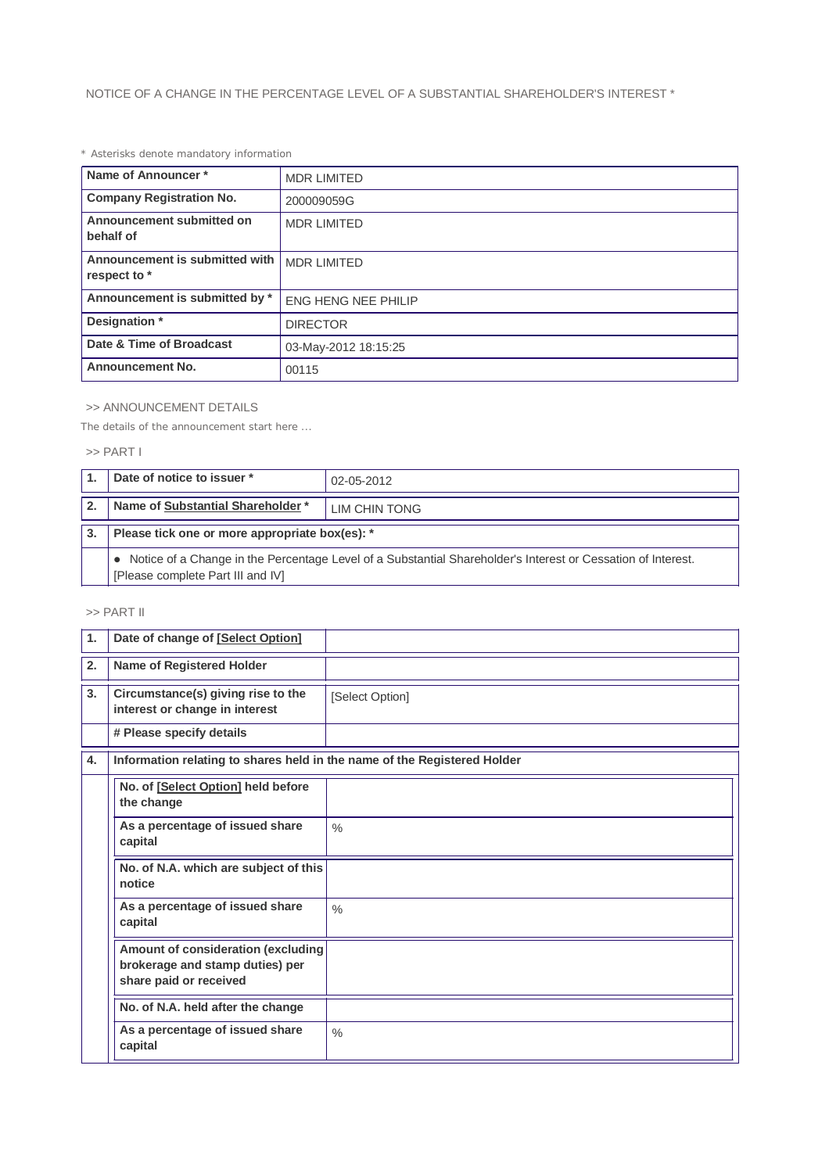# *\* Asterisks denote mandatory information*

| Name of Announcer*                             | <b>MDR LIMITED</b>         |  |
|------------------------------------------------|----------------------------|--|
| <b>Company Registration No.</b>                | 200009059G                 |  |
| Announcement submitted on<br>behalf of         | <b>MDR LIMITED</b>         |  |
| Announcement is submitted with<br>respect to * | <b>MDR LIMITED</b>         |  |
| Announcement is submitted by *                 | <b>ENG HENG NEE PHILIP</b> |  |
| Designation *                                  | <b>DIRECTOR</b>            |  |
| Date & Time of Broadcast                       | 03-May-2012 18:15:25       |  |
| <b>Announcement No.</b>                        | 00115                      |  |

## >> ANNOUNCEMENT DETAILS

*The details of the announcement start here ...*

## >> PART I

|              | Date of notice to issuer *                                                                                                                          | 02-05-2012    |  |
|--------------|-----------------------------------------------------------------------------------------------------------------------------------------------------|---------------|--|
| $\mathbf{2}$ | Name of Substantial Shareholder *                                                                                                                   | LIM CHIN TONG |  |
| 3.           | Please tick one or more appropriate box(es): *                                                                                                      |               |  |
|              | • Notice of a Change in the Percentage Level of a Substantial Shareholder's Interest or Cessation of Interest.<br>[Please complete Part III and IV] |               |  |

# >> PART II

| $\mathbf{1}$ | Date of change of [Select Option]                                                               |                 |  |  |
|--------------|-------------------------------------------------------------------------------------------------|-----------------|--|--|
| 2.           | Name of Registered Holder                                                                       |                 |  |  |
| 3.           | Circumstance(s) giving rise to the<br>interest or change in interest                            | [Select Option] |  |  |
|              | # Please specify details                                                                        |                 |  |  |
| 4.           | Information relating to shares held in the name of the Registered Holder                        |                 |  |  |
|              | No. of [Select Option] held before<br>the change                                                |                 |  |  |
|              | As a percentage of issued share<br>capital                                                      | $\frac{0}{0}$   |  |  |
|              | No. of N.A. which are subject of this<br>notice                                                 |                 |  |  |
|              | As a percentage of issued share<br>capital                                                      | $\frac{0}{0}$   |  |  |
|              | Amount of consideration (excluding<br>brokerage and stamp duties) per<br>share paid or received |                 |  |  |
|              | No. of N.A. held after the change                                                               |                 |  |  |
|              | As a percentage of issued share<br>capital                                                      | $\frac{0}{0}$   |  |  |